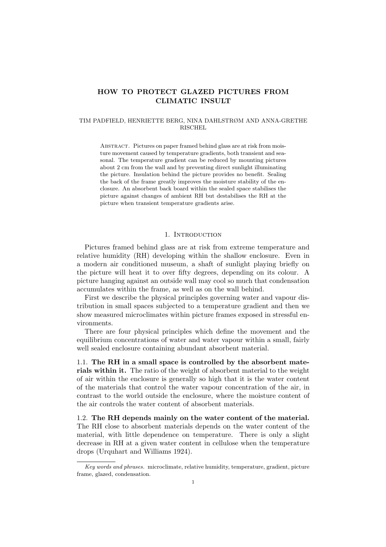# **HOW TO PROTECT GLAZED PICTURES FROM CLIMATIC INSULT**

#### TIM PADFIELD, HENRIETTE BERG, NINA DAHLSTRØM AND ANNA-GRETHE RISCHEL

ABSTRACT. Pictures on paper framed behind glass are at risk from moisture movement caused by temperature gradients, both transient and seasonal. The temperature gradient can be reduced by mounting pictures about 2 cm from the wall and by preventing direct sunlight illuminating the picture. Insulation behind the picture provides no benefit. Sealing the back of the frame greatly improves the moisture stability of the enclosure. An absorbent back board within the sealed space stabilises the picture against changes of ambient RH but destabilises the RH at the picture when transient temperature gradients arise.

#### 1. INTRODUCTION

Pictures framed behind glass are at risk from extreme temperature and relative humidity (RH) developing within the shallow enclosure. Even in a modern air conditioned museum, a shaft of sunlight playing briefly on the picture will heat it to over fifty degrees, depending on its colour. A picture hanging against an outside wall may cool so much that condensation accumulates within the frame, as well as on the wall behind.

First we describe the physical principles governing water and vapour distribution in small spaces subjected to a temperature gradient and then we show measured microclimates within picture frames exposed in stressful environments.

There are four physical principles which define the movement and the equilibrium concentrations of water and water vapour within a small, fairly well sealed enclosure containing abundant absorbent material.

1.1. **The RH in a small space is controlled by the absorbent materials within it.** The ratio of the weight of absorbent material to the weight of air within the enclosure is generally so high that it is the water content of the materials that control the water vapour concentration of the air,in contrast to the world outside the enclosure,where the moisture content of the air controls the water content of absorbent materials.

1.2. **The RH depends mainly on the watercontent of the material.** The RH close to absorbent materials depends on the water content of the material, with little dependence on temperature. There is only a slight decrease in RH at a given water content in cellulose when the temperature drops (Urquhart and Williams 1924).

Key words and phrases. microclimate, relative humidity, temperature, gradient, picture frame, glazed, condensation.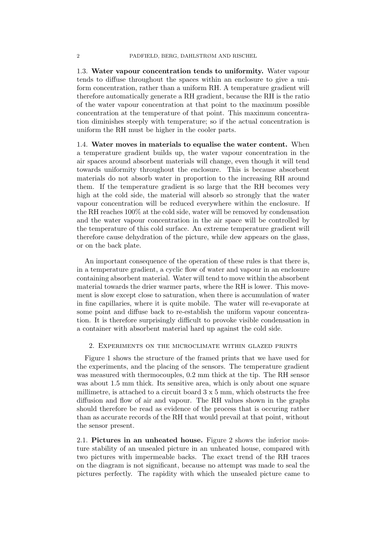1.3. **Water vapour concentration tends to uniformity.** Water vapour tends to diffuse throughout the spaces within an enclosure to give a uniform concentration, rather than a uniform RH. A temperature gradient will therefore automatically generate a RH gradient, because the RH is the ratio of the water vapour concentration at that point to the maximum possible concentration at the temperature of that point. This maximum concentration diminishes steeply with temperature; so if the actual concentration is uniform the RH must be higher in the cooler parts.

1.4. Water moves in materials to equalise the water content. When a temperature gradient builds up, the water vapour concentration in the air spaces around absorbent materials will change, even though it will tend towards uniformity throughout the enclosure. This is because absorbent materials do not absorb water in proportion to the increasing RH around them. If the temperature gradient is so large that the RH becomes very high at the cold side, the material will absorb so strongly that the water vapour concentration will be reduced everywhere within the enclosure. If the RH reaches  $100\%$  at the cold side, water will be removed by condensation and the water vapour concentration in the air space will be controlled by the temperature of this cold surface. An extreme temperature gradient will therefore cause dehydration of the picture, while dew appears on the glass, or on the back plate.

An important consequence of the operation of these rules is that there is, in a temperature gradient, a cyclic flow of water and vapour in an enclosure containing absorbent material. Water will tend to move within the absorbent material towards the drier warmer parts, where the RH is lower. This movement is slow except close to saturation, when there is accumulation of water in fine capillaries, where it is quite mobile. The water will re-evaporate at some point and diffuse back to re-establish the uniform vapour concentration. It is therefore surprisingly difficult to provoke visible condensation in a container with absorbent material hard up against the cold side.

### 2. Experiments on the microclimate within glazed prints

Figure 1 shows the structure of the framed prints that we have used for the experiments, and the placing of the sensors. The temperature gradient was measured with thermocouples,0.2 mm thick at the tip. The RH sensor was about 1.5 mm thick. Its sensitive area, which is only about one square millimetre, is attached to a circuit board  $3 \times 5$  mm, which obstructs the free diffusion and flow of air and vapour. The RH values shown in the graphs should therefore be read as evidence of the process that is occuring rather than as accurate records of the RH that would prevail at that point, without the sensor present.

2.1. **Pictures in an unheated house.** Figure 2 shows the inferior moisture stability of an unsealed picture in an unheated house, compared with two pictures with impermeable backs. The exact trend of the RH traces on the diagram is not significant, because no attempt was made to seal the pictures perfectly. The rapidity with which the unsealed picture came to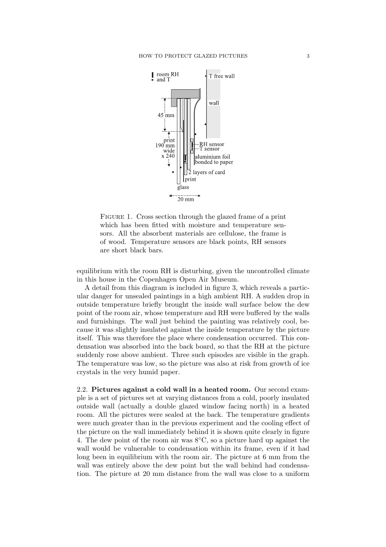

FIGURE 1. Cross section through the glazed frame of a print which has been fitted with moisture and temperature sensors. All the absorbent materials are cellulose, the frame is of wood. Temperature sensors are black points,RH sensors are short black bars.

equilibrium with the room RH is disturbing, given the uncontrolled climate in this house in the Copenhagen Open Air Museum.

A detail from this diagram is included in figure 3, which reveals a particular danger for unsealed paintings in a high ambient RH. A sudden drop in outside temperature briefly brought the inside wall surface below the dew point of the room air, whose temperature and RH were buffered by the walls and furnishings. The wall just behind the painting was relatively cool, because it was slightly insulated against the inside temperature by the picture itself. This was therefore the place where condensation occurred. This condensation was absorbed into the back board, so that the RH at the picture suddenly rose above ambient. Three such episodes are visible in the graph. The temperature was low, so the picture was also at risk from growth of ice crystals in the very humid paper.

2.2. **Pictures against a cold wall in a heated room.** Our second example is a set of pictures set at varying distances from a cold,poorly insulated outside wall (actually a double glazed window facing north) in a heated room. All the pictures were sealed at the back. The temperature gradients were much greater than in the previous experiment and the cooling effect of the picture on the wall immediately behind it is shown quite clearly in figure 4. The dew point of the room air was  $8^{\circ}$ C, so a picture hard up against the wall would be vulnerable to condensation within its frame, even if it had long been in equilibrium with the room air. The picture at 6 mm from the wall was entirely above the dew point but the wall behind had condensation. The picture at 20 mm distance from the wall was close to a uniform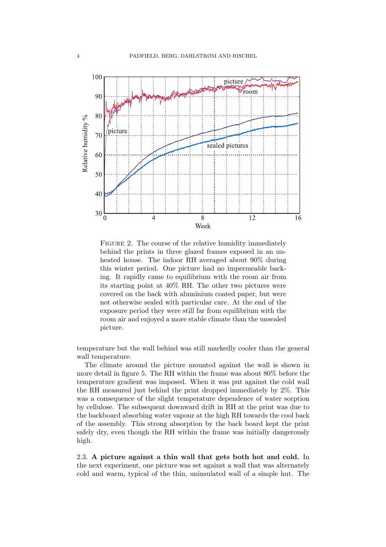

FIGURE 2. The course of the relative humidity immediately behind the prints in three glazed frames exposed in an unheated house. The indoor RH averaged about 90% during this winter period. One picture had no impermeable backing. It rapidly came to equilibrium with the room air from its starting point at 40% RH. The other two pictures were covered on the back with aluminium coated paper, but were not otherwise sealed with particular care. At the end of the exposure period they were still far from equilibrium with the room air and enjoyed a more stable climate than the unsealed picture.

temperature but the wall behind was still markedly cooler than the general wall temperature.

The climate around the picture mounted against the wall is shown in more detail in figure 5. The RH within the frame was about 80% before the temperature gradient was imposed. When it was put against the cold wall the RH measured just behind the print dropped immediately by 2%. This was a consequence of the slight temperature dependence of water sorption by cellulose. The subsequent downward drift in RH at the print was due to the backboard absorbing water vapour at the high RH towards the cool back of the assembly. This strong absorption by the back board kept the print safely dry, even though the RH within the frame was initially dangerously high.

2.3. **A picture against a thin wall that gets both hot and cold.** In the next experiment, one picture was set against a wall that was alternately cold and warm, typical of the thin, uninsulated wall of a simple hut. The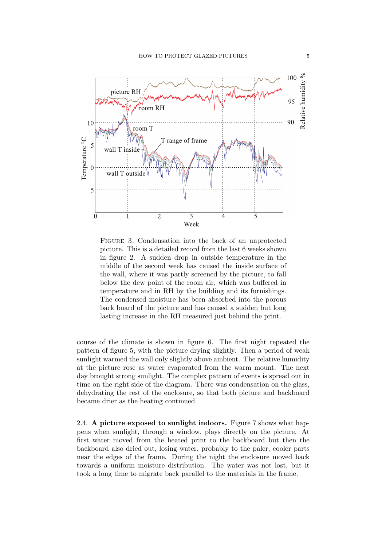

Figure 3. Condensation into the back of an unprotected picture. This is a detailed record from the last 6 weeks shown in figure 2. A sudden drop in outside temperature in the middle of the second week has caused the inside surface of the wall, where it was partly screened by the picture, to fall below the dew point of the room air, which was buffered in temperature and in RH by the building and its furnishings. The condensed moisture has been absorbed into the porous back board of the picture and has caused a sudden but long lasting increase in the RH measured just behind the print.

course of the climate is shown in figure 6. The first night repeated the pattern of figure 5, with the picture drying slightly. Then a period of weak sunlight warmed the wall only slightly above ambient. The relative humidity at the picture rose as water evaporated from the warm mount. The next day brought strong sunlight. The complex pattern of events is spread out in time on the right side of the diagram. There was condensation on the glass, dehydrating the rest of the enclosure, so that both picture and backboard became drier as the heating continued.

2.4. **A picture exposed to sunlight indoors.** Figure 7 shows what happens when sunlight, through a window, plays directly on the picture. At first water moved from the heated print to the backboard but then the backboard also dried out, losing water, probably to the paler, cooler parts near the edges of the frame. During the night the enclosure moved back towards a uniform moisture distribution. The water was not lost, but it took a long time to migrate back parallel to the materials in the frame.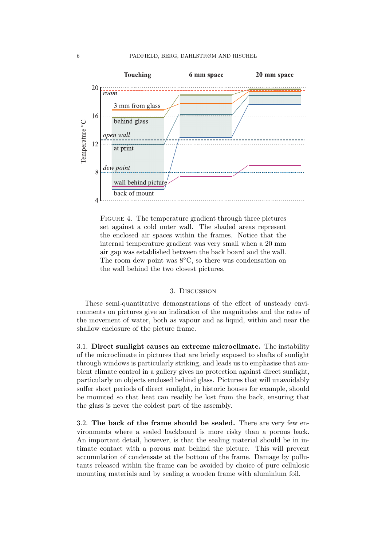

FIGURE 4. The temperature gradient through three pictures set against a cold outer wall. The shaded areas represent the enclosed air spaces within the frames. Notice that the internal temperature gradient was very small when a 20 mm air gap was established between the back board and the wall. The room dew point was  $8^{\circ}$ C, so there was condensation on the wall behind the two closest pictures.

### 3. Discussion

These semi-quantitative demonstrations of the effect of unsteady environments on pictures give an indication of the magnitudes and the rates of the movement of water, both as vapour and as liquid, within and near the shallow enclosure of the picture frame.

3.1. **Direct sunlight causes an extreme microclimate.** The instability of the microclimate in pictures that are briefly exposed to shafts of sunlight through windows is particularly striking, and leads us to emphasise that ambient climate control in a gallery gives no protection against direct sunlight, particularly on objects enclosed behind glass. Pictures that will unavoidably suffer short periods of direct sunlight, in historic houses for example, should be mounted so that heat can readily be lost from the back, ensuring that the glass is never the coldest part of the assembly.

3.2. **The back of the frame should be sealed.** There are very few environments where a sealed backboard is more risky than a porous back. An important detail, however, is that the sealing material should be in intimate contact with a porous mat behind the picture. This will prevent accumulation of condensate at the bottom of the frame. Damage by pollutants released within the frame can be avoided by choice of pure cellulosic mounting materials and by sealing a wooden frame with aluminium foil.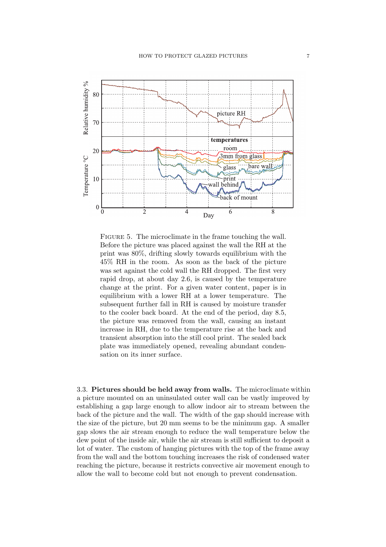

FIGURE 5. The microclimate in the frame touching the wall. Before the picture was placed against the wall the RH at the print was  $80\%$ , drifting slowly towards equilibrium with the 45% RH in the room. As soon as the back of the picture was set against the cold wall the RH dropped. The first very rapid drop, at about day 2.6, is caused by the temperature change at the print. For a given water content, paper is in equilibrium with a lower RH at a lower temperature. The subsequent further fall in RH is caused by moisture transfer to the cooler back board. At the end of the period, day 8.5, the picture was removed from the wall, causing an instant increase in RH, due to the temperature rise at the back and transient absorption into the still cool print. The sealed back plate was immediately opened, revealing abundant condensation on its inner surface.

3.3. **Pictures should be held away from walls.** The microclimate within a picture mounted on an uninsulated outer wall can be vastly improved by establishing a gap large enough to allow indoor air to stream between the back of the picture and the wall. The width of the gap should increase with the size of the picture, but 20 mm seems to be the minimum gap. A smaller gap slows the air stream enough to reduce the wall temperature below the dew point of the inside air, while the air stream is still sufficient to deposit a lot of water. The custom of hanging pictures with the top of the frame away from the wall and the bottom touching increases the risk of condensed water reaching the picture, because it restricts convective air movement enough to allow the wall to become cold but not enough to prevent condensation.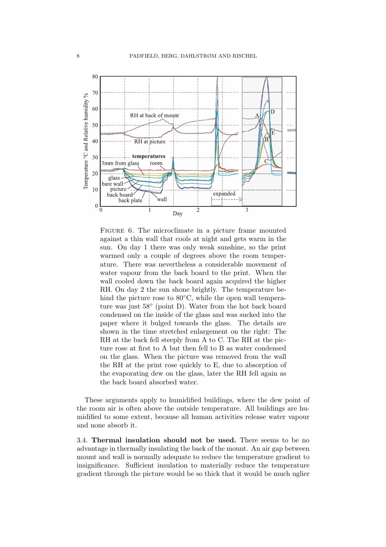

Figure 6. The microclimate in a picture frame mounted against a thin wall that cools at night and gets warm in the sun. On day 1 there was only weak sunshine, so the print warmed only a couple of degrees above the room temperature. There was nevertheless a considerable movement of water vapour from the back board to the print. When the wall cooled down the back board again acquired the higher RH. On day 2 the sun shone brightly. The temperature behind the picture rose to  $80^{\circ}$ C, while the open wall temperature was just 58◦ (point D). Water from the hot back board condensed on the inside of the glass and was sucked into the paper where it bulged towards the glass. The details are shown in the time stretched enlargement on the right: The RH at the back fell steeply from A to C. The RH at the picture rose at first to A but then fell to B as water condensed on the glass. When the picture was removed from the wall the RH at the print rose quickly to  $E$ , due to absorption of the evaporating dew on the glass, later the RH fell again as the back board absorbed water.

These arguments apply to humidified buildings, where the dew point of the room air is often above the outside temperature. All buildings are humidified to some extent, because all human activities release water vapour and none absorb it.

3.4. **Thermal insulation should not be used.** There seems to be no advantage in thermally insulating the back of the mount. An air gap between mount and wall is normally adequate to reduce the temperature gradient to insignificance. Sufficient insulation to materially reduce the temperature gradient through the picture would be so thick that it would be much uglier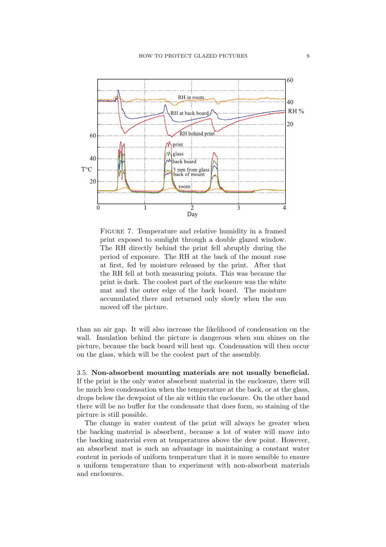

FIGURE 7. Temperature and relative humidity in a framed print exposed to sunlight through a double glazed window. The RH directly behind the print fell abruptly during the period of exposure. The RH at the back of the mount rose at first, fed by moisture released by the print. After that the RH fell at both measuring points. This was because the print is dark. The coolest part of the enclosure was the white mat and the outer edge of the back board. The moisture accumulated there and returned only slowly when the sun moved off the picture.

than an air gap. It will also increase the likelihood of condensation on the wall. Insulation behind the picture is dangerous when sun shines on the picture, because the back board will heat up. Condensation will then occur on the glass,which will be the coolest part of the assembly.

3.5. **Non-absorbent mounting materials are not usually beneficial.** If the print is the only water absorbent material in the enclosure, there will be much less condensation when the temperature at the back, or at the glass, drops below the dewpoint of the air within the enclosure. On the other hand there will be no buffer for the condensate that does form, so staining of the picture is still possible.

The change in water content of the print will always be greater when the backing material is absorbent, because a lot of water will move into the backing material even at temperatures above the dew point. However, an absorbent mat is such an advantage in maintaining a constant water content in periods of uniform temperature that it is more sensible to ensure a uniform temperature than to experiment with non-absorbent materials and enclosures.